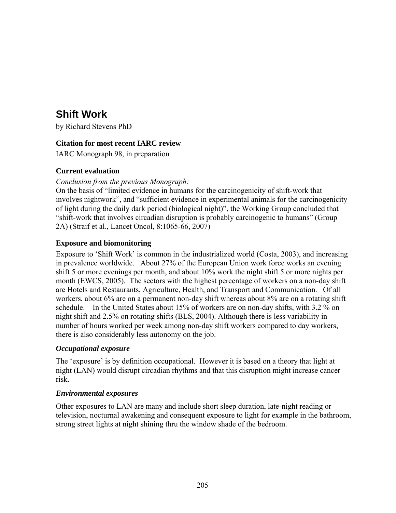# **Shift Work**

by Richard Stevens PhD

## **Citation for most recent IARC review**

IARC Monograph 98, in preparation

## **Current evaluation**

### *Conclusion from the previous Monograph:*

On the basis of "limited evidence in humans for the carcinogenicity of shift-work that involves nightwork", and "sufficient evidence in experimental animals for the carcinogenicity of light during the daily dark period (biological night)", the Working Group concluded that "shift-work that involves circadian disruption is probably carcinogenic to humans" (Group 2A) (Straif et al., Lancet Oncol, 8:1065-66, 2007)

## **Exposure and biomonitoring**

Exposure to 'Shift Work' is common in the industrialized world (Costa, 2003), and increasing in prevalence worldwide. About 27% of the European Union work force works an evening shift 5 or more evenings per month, and about 10% work the night shift 5 or more nights per month (EWCS, 2005). The sectors with the highest percentage of workers on a non-day shift are Hotels and Restaurants, Agriculture, Health, and Transport and Communication. Of all workers, about 6% are on a permanent non-day shift whereas about 8% are on a rotating shift schedule. In the United States about 15% of workers are on non-day shifts, with 3.2 % on night shift and 2.5% on rotating shifts (BLS, 2004). Although there is less variability in number of hours worked per week among non-day shift workers compared to day workers, there is also considerably less autonomy on the job.

### *Occupational exposure*

The 'exposure' is by definition occupational. However it is based on a theory that light at night (LAN) would disrupt circadian rhythms and that this disruption might increase cancer risk.

### *Environmental exposures*

Other exposures to LAN are many and include short sleep duration, late-night reading or television, nocturnal awakening and consequent exposure to light for example in the bathroom, strong street lights at night shining thru the window shade of the bedroom.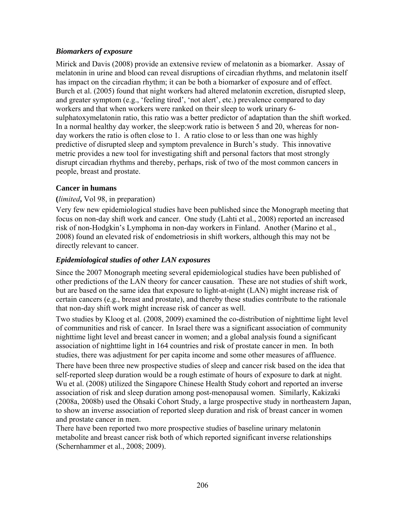## *Biomarkers of exposure*

Mirick and Davis (2008) provide an extensive review of melatonin as a biomarker. Assay of melatonin in urine and blood can reveal disruptions of circadian rhythms, and melatonin itself has impact on the circadian rhythm; it can be both a biomarker of exposure and of effect. Burch et al. (2005) found that night workers had altered melatonin excretion, disrupted sleep, and greater symptom (e.g., 'feeling tired', 'not alert', etc.) prevalence compared to day workers and that when workers were ranked on their sleep to work urinary 6 sulphatoxymelatonin ratio, this ratio was a better predictor of adaptation than the shift worked. In a normal healthy day worker, the sleep:work ratio is between 5 and 20, whereas for nonday workers the ratio is often close to 1. A ratio close to or less than one was highly predictive of disrupted sleep and symptom prevalence in Burch's study. This innovative metric provides a new tool for investigating shift and personal factors that most strongly disrupt circadian rhythms and thereby, perhaps, risk of two of the most common cancers in people, breast and prostate.

### **Cancer in humans**

### **(***limited***,** Vol 98, in preparation)

Very few new epidemiological studies have been published since the Monograph meeting that focus on non-day shift work and cancer. One study (Lahti et al., 2008) reported an increased risk of non-Hodgkin's Lymphoma in non-day workers in Finland. Another (Marino et al., 2008) found an elevated risk of endometriosis in shift workers, although this may not be directly relevant to cancer.

### *Epidemiological studies of other LAN exposures*

Since the 2007 Monograph meeting several epidemiological studies have been published of other predictions of the LAN theory for cancer causation. These are not studies of shift work, but are based on the same idea that exposure to light-at-night (LAN) might increase risk of certain cancers (e.g., breast and prostate), and thereby these studies contribute to the rationale that non-day shift work might increase risk of cancer as well.

Two studies by Kloog et al. (2008, 2009) examined the co-distribution of nighttime light level of communities and risk of cancer. In Israel there was a significant association of community nighttime light level and breast cancer in women; and a global analysis found a significant association of nighttime light in 164 countries and risk of prostate cancer in men. In both studies, there was adjustment for per capita income and some other measures of affluence.

There have been three new prospective studies of sleep and cancer risk based on the idea that self-reported sleep duration would be a rough estimate of hours of exposure to dark at night. Wu et al. (2008) utilized the Singapore Chinese Health Study cohort and reported an inverse association of risk and sleep duration among post-menopausal women. Similarly, Kakizaki (2008a, 2008b) used the Ohsaki Cohort Study, a large prospective study in northeastern Japan, to show an inverse association of reported sleep duration and risk of breast cancer in women and prostate cancer in men.

There have been reported two more prospective studies of baseline urinary melatonin metabolite and breast cancer risk both of which reported significant inverse relationships (Schernhammer et al., 2008; 2009).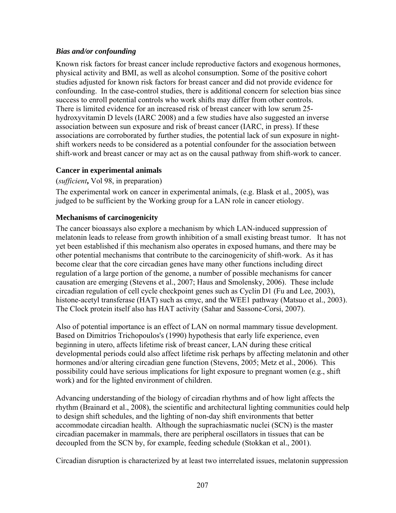## *Bias and/or confounding*

Known risk factors for breast cancer include reproductive factors and exogenous hormones, physical activity and BMI, as well as alcohol consumption. Some of the positive cohort studies adjusted for known risk factors for breast cancer and did not provide evidence for confounding. In the case-control studies, there is additional concern for selection bias since success to enroll potential controls who work shifts may differ from other controls. There is limited evidence for an increased risk of breast cancer with low serum 25 hydroxyvitamin D levels (IARC 2008) and a few studies have also suggested an inverse association between sun exposure and risk of breast cancer (IARC, in press). If these associations are corroborated by further studies, the potential lack of sun exposure in nightshift workers needs to be considered as a potential confounder for the association between shift-work and breast cancer or may act as on the causal pathway from shift-work to cancer.

## **Cancer in experimental animals**

(*sufficient***,** Vol 98, in preparation)

The experimental work on cancer in experimental animals, (e.g. Blask et al., 2005), was judged to be sufficient by the Working group for a LAN role in cancer etiology.

# **Mechanisms of carcinogenicity**

The cancer bioassays also explore a mechanism by which LAN-induced suppression of melatonin leads to release from growth inhibition of a small existing breast tumor. It has not yet been established if this mechanism also operates in exposed humans, and there may be other potential mechanisms that contribute to the carcinogenicity of shift-work. As it has become clear that the core circadian genes have many other functions including direct regulation of a large portion of the genome, a number of possible mechanisms for cancer causation are emerging (Stevens et al., 2007; Haus and Smolensky, 2006). These include circadian regulation of cell cycle checkpoint genes such as Cyclin D1 (Fu and Lee, 2003), histone-acetyl transferase (HAT) such as cmyc, and the WEE1 pathway (Matsuo et al., 2003). The Clock protein itself also has HAT activity (Sahar and Sassone-Corsi, 2007).

Also of potential importance is an effect of LAN on normal mammary tissue development. Based on Dimitrios Trichopoulos's (1990) hypothesis that early life experience, even beginning in utero, affects lifetime risk of breast cancer, LAN during these critical developmental periods could also affect lifetime risk perhaps by affecting melatonin and other hormones and/or altering circadian gene function (Stevens, 2005; Metz et al., 2006). This possibility could have serious implications for light exposure to pregnant women (e.g., shift work) and for the lighted environment of children.

Advancing understanding of the biology of circadian rhythms and of how light affects the rhythm (Brainard et al., 2008), the scientific and architectural lighting communities could help to design shift schedules, and the lighting of non-day shift environments that better accommodate circadian health. Although the suprachiasmatic nuclei (SCN) is the master circadian pacemaker in mammals, there are peripheral oscillators in tissues that can be decoupled from the SCN by, for example, feeding schedule (Stokkan et al., 2001).

Circadian disruption is characterized by at least two interrelated issues, melatonin suppression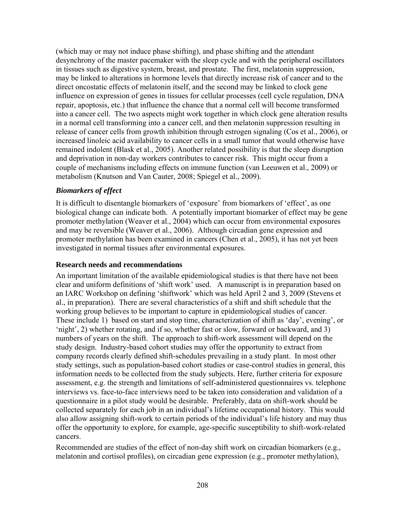(which may or may not induce phase shifting), and phase shifting and the attendant desynchrony of the master pacemaker with the sleep cycle and with the peripheral oscillators in tissues such as digestive system, breast, and prostate. The first, melatonin suppression, may be linked to alterations in hormone levels that directly increase risk of cancer and to the direct oncostatic effects of melatonin itself, and the second may be linked to clock gene influence on expression of genes in tissues for cellular processes (cell cycle regulation, DNA repair, apoptosis, etc.) that influence the chance that a normal cell will become transformed into a cancer cell. The two aspects might work together in which clock gene alteration results in a normal cell transforming into a cancer cell, and then melatonin suppression resulting in release of cancer cells from growth inhibition through estrogen signaling (Cos et al., 2006), or increased linoleic acid availability to cancer cells in a small tumor that would otherwise have remained indolent (Blask et al., 2005). Another related possibility is that the sleep disruption and deprivation in non-day workers contributes to cancer risk. This might occur from a couple of mechanisms including effects on immune function (van Leeuwen et al., 2009) or metabolism (Knutson and Van Cauter, 2008; Spiegel et al., 2009).

#### *Biomarkers of effect*

It is difficult to disentangle biomarkers of 'exposure' from biomarkers of 'effect', as one biological change can indicate both. A potentially important biomarker of effect may be gene promoter methylation (Weaver et al., 2004) which can occur from environmental exposures and may be reversible (Weaver et al., 2006). Although circadian gene expression and promoter methylation has been examined in cancers (Chen et al., 2005), it has not yet been investigated in normal tissues after environmental exposures.

#### **Research needs and recommendations**

An important limitation of the available epidemiological studies is that there have not been clear and uniform definitions of 'shift work' used. A manuscript is in preparation based on an IARC Workshop on defining 'shiftwork' which was held April 2 and 3, 2009 (Stevens et al., in preparation). There are several characteristics of a shift and shift schedule that the working group believes to be important to capture in epidemiological studies of cancer. These include 1) based on start and stop time, characterization of shift as 'day', evening', or 'night', 2) whether rotating, and if so, whether fast or slow, forward or backward, and 3) numbers of years on the shift. The approach to shift-work assessment will depend on the study design. Industry-based cohort studies may offer the opportunity to extract from company records clearly defined shift-schedules prevailing in a study plant. In most other study settings, such as population-based cohort studies or case-control studies in general, this information needs to be collected from the study subjects. Here, further criteria for exposure assessment, e.g. the strength and limitations of self-administered questionnaires vs. telephone interviews vs. face-to-face interviews need to be taken into consideration and validation of a questionnaire in a pilot study would be desirable. Preferably, data on shift-work should be collected separately for each job in an individual's lifetime occupational history. This would also allow assigning shift-work to certain periods of the individual's life history and may thus offer the opportunity to explore, for example, age-specific susceptibility to shift-work-related cancers.

Recommended are studies of the effect of non-day shift work on circadian biomarkers (e.g., melatonin and cortisol profiles), on circadian gene expression (e.g., promoter methylation),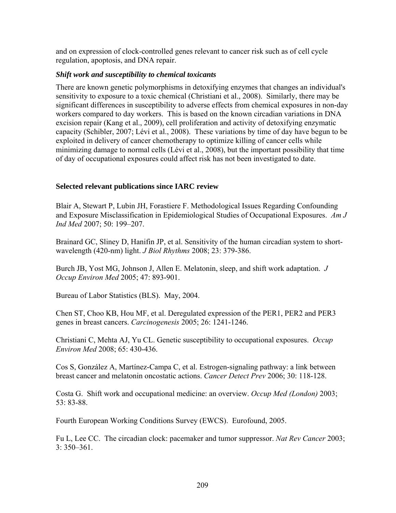and on expression of clock-controlled genes relevant to cancer risk such as of cell cycle regulation, apoptosis, and DNA repair.

#### *Shift work and susceptibility to chemical toxicants*

There are known genetic polymorphisms in detoxifying enzymes that changes an individual's sensitivity to exposure to a toxic chemical (Christiani et al., 2008). Similarly, there may be significant differences in susceptibility to adverse effects from chemical exposures in non-day workers compared to day workers. This is based on the known circadian variations in DNA excision repair (Kang et al., 2009), cell proliferation and activity of detoxifying enzymatic capacity (Schibler, 2007; Lévi et al., 2008). These variations by time of day have begun to be exploited in delivery of cancer chemotherapy to optimize killing of cancer cells while minimizing damage to normal cells (Lévi et al., 2008), but the important possibility that time of day of occupational exposures could affect risk has not been investigated to date.

### **Selected relevant publications since IARC review**

Blair A, Stewart P, Lubin JH, Forastiere F. Methodological Issues Regarding Confounding and Exposure Misclassification in Epidemiological Studies of Occupational Exposures. *Am J Ind Med* 2007; 50: 199–207.

Brainard GC, Sliney D, Hanifin JP, et al. Sensitivity of the human circadian system to shortwavelength (420-nm) light. *J Biol Rhythms* 2008; 23: 379-386.

Burch JB, Yost MG, Johnson J, Allen E. Melatonin, sleep, and shift work adaptation. *J Occup Environ Med* 2005; 47: 893-901.

Bureau of Labor Statistics (BLS). May, 2004.

Chen ST, Choo KB, Hou MF, et al. Deregulated expression of the PER1, PER2 and PER3 genes in breast cancers. *Carcinogenesis* 2005; 26: 1241-1246.

Christiani C, Mehta AJ, Yu CL. [Genetic susceptibility to occupational exposures.](http://www.ncbi.nlm.nih.gov/pubmed/18487431?ordinalpos=1&itool=EntrezSystem2.PEntrez.Pubmed.Pubmed_ResultsPanel.Pubmed_DefaultReportPanel.Pubmed_RVDocSum) *Occup Environ Med* 2008; 65: 430-436.

Cos S, González A, Martínez-Campa C, et al. Estrogen-signaling pathway: a link between breast cancer and melatonin oncostatic actions. *Cancer Detect Prev* 2006; 30: 118-128.

Costa G. Shift work and occupational medicine: an overview. *Occup Med (London)* 2003; 53: 83-88.

Fourth European Working Conditions Survey (EWCS). Eurofound, 2005.

Fu L, Lee CC. The circadian clock: pacemaker and tumor suppressor. *Nat Rev Cancer* 2003; 3: 350–361.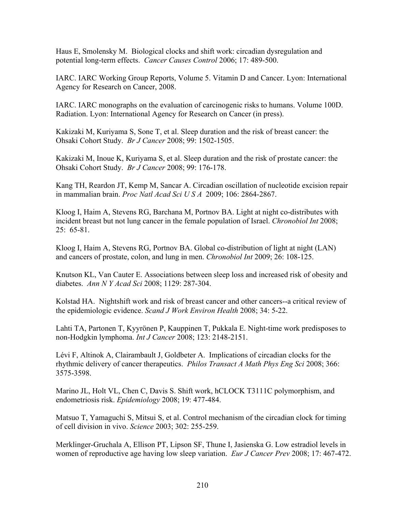Haus E, Smolensky M. Biological clocks and shift work: circadian dysregulation and potential long-term effects. *Cancer Causes Control* 2006; 17: 489-500.

IARC. IARC Working Group Reports, Volume 5. Vitamin D and Cancer. Lyon: International Agency for Research on Cancer, 2008.

IARC. IARC monographs on the evaluation of carcinogenic risks to humans. Volume 100D. Radiation. Lyon: International Agency for Research on Cancer (in press).

Kakizaki M, Kuriyama S, Sone T, et al. Sleep duration and the risk of breast cancer: the Ohsaki Cohort Study. *Br J Cancer* 2008; 99: 1502-1505.

Kakizaki M, Inoue K, Kuriyama S, et al. Sleep duration and the risk of prostate cancer: the Ohsaki Cohort Study. *Br J Cancer* 2008; 99: 176-178.

Kang TH, Reardon JT, Kemp M, Sancar A. Circadian oscillation of nucleotide excision repair in mammalian brain. *Proc Natl Acad Sci U S A* 2009; 106: 2864-2867.

Kloog I, Haim A, Stevens RG, Barchana M, Portnov BA. Light at night co-distributes with incident breast but not lung cancer in the female population of Israel. *Chronobiol Int* 2008; 25: 65-81.

Kloog I, Haim A, Stevens RG, Portnov BA. Global co-distribution of light at night (LAN) and cancers of prostate, colon, and lung in men. *Chronobiol Int* 2009; 26: 108-125.

Knutson KL, Van Cauter E. Associations between sleep loss and increased risk of obesity and diabetes. *Ann N Y Acad Sci* 2008; 1129: 287-304.

Kolstad HA. Nightshift work and risk of breast cancer and other cancers--a critical review of the epidemiologic evidence. *Scand J Work Environ Health* 2008; 34: 5-22.

Lahti TA, Partonen T, Kyyrönen P, Kauppinen T, Pukkala E. Night-time work predisposes to non-Hodgkin lymphoma. *Int J Cancer* 2008; 123: 2148-2151.

Lévi F, Altinok A, Clairambault J, Goldbeter A. Implications of circadian clocks for the rhythmic delivery of cancer therapeutics. *Philos Transact A Math Phys Eng Sci* 2008; 366: 3575-3598.

Marino JL, Holt VL, Chen C, Davis S. Shift work, hCLOCK T3111C polymorphism, and endometriosis risk. *Epidemiology* 2008; 19: 477-484.

Matsuo T, Yamaguchi S, Mitsui S, et al. Control mechanism of the circadian clock for timing of cell division in vivo. *Science* 2003; 302: 255-259.

Merklinger-Gruchala A, Ellison PT, Lipson SF, Thune I, Jasienska G. Low estradiol levels in women of reproductive age having low sleep variation. *Eur J Cancer Prev* 2008; 17: 467-472.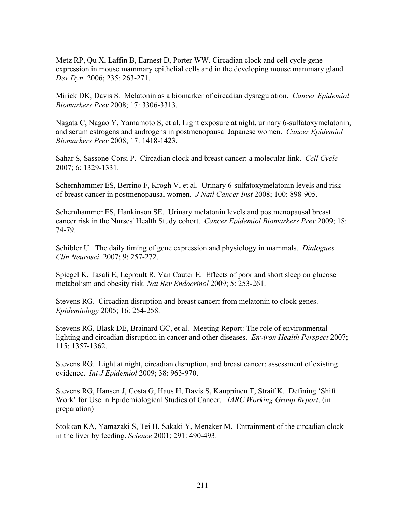Metz RP, Qu X, Laffin B, Earnest D, Porter WW. Circadian clock and cell cycle gene expression in mouse mammary epithelial cells and in the developing mouse mammary gland. *Dev Dyn* 2006; 235: 263-271.

Mirick DK, Davis S. Melatonin as a biomarker of circadian dysregulation. *Cancer Epidemiol Biomarkers Prev* 2008; 17: 3306-3313.

Nagata C, Nagao Y, Yamamoto S, et al. Light exposure at night, urinary 6-sulfatoxymelatonin, and serum estrogens and androgens in postmenopausal Japanese women. *Cancer Epidemiol Biomarkers Prev* 2008; 17: 1418-1423.

Sahar S, Sassone-Corsi P. Circadian clock and breast cancer: a molecular link. *Cell Cycle* 2007; 6: 1329-1331.

Schernhammer ES, Berrino F, Krogh V, et al. Urinary 6-sulfatoxymelatonin levels and risk of breast cancer in postmenopausal women. *J Natl Cancer Inst* 2008; 100: 898-905.

Schernhammer ES, Hankinson SE. Urinary melatonin levels and postmenopausal breast cancer risk in the Nurses' Health Study cohort. *Cancer Epidemiol Biomarkers Prev* 2009; 18: 74-79.

Schibler U. The daily timing of gene expression and physiology in mammals. *Dialogues Clin Neurosci* 2007; 9: 257-272.

Spiegel K, Tasali E, Leproult R, Van Cauter E. Effects of poor and short sleep on glucose metabolism and obesity risk. *Nat Rev Endocrinol* 2009; 5: 253-261.

Stevens RG. Circadian disruption and breast cancer: from melatonin to clock genes. *Epidemiology* 2005; 16: 254-258.

Stevens RG, Blask DE, Brainard GC, et al. Meeting Report: The role of environmental lighting and circadian disruption in cancer and other diseases. *Environ Health Perspect* 2007; 115: 1357-1362.

Stevens RG. Light at night, circadian disruption, and breast cancer: assessment of existing evidence. *Int J Epidemiol* 2009; 38: 963-970.

Stevens RG, Hansen J, Costa G, Haus H, Davis S, Kauppinen T, Straif K. Defining 'Shift Work' for Use in Epidemiological Studies of Cancer. *IARC Working Group Report*, (in preparation)

Stokkan KA, Yamazaki S, Tei H, Sakaki Y, Menaker M. Entrainment of the circadian clock in the liver by feeding. *Science* 2001; 291: 490-493.